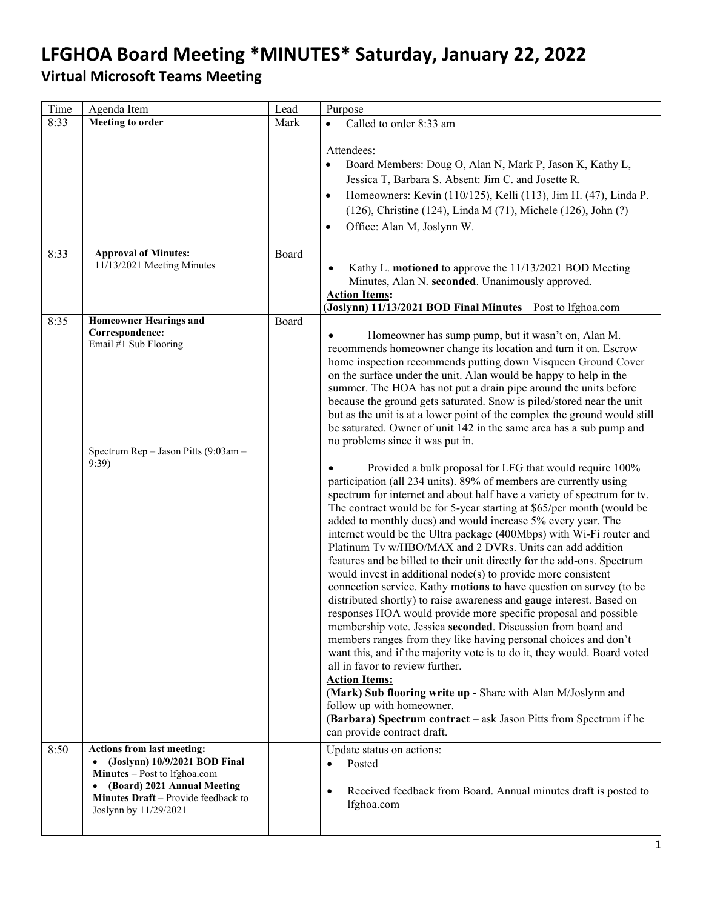| Time | Agenda Item                                                                                                                                                                                       | Lead  | Purpose                                                                                                                                                                                                                                                                                                                                                                                                                                                                                                                                                                                                                                                                                                                                                                                                                                                                                                                                                                                                                                                                                                                                                                                                                                                                                                                                                                                                                                                                                                                                                                                                                                                                                                                                                                                                                                                                                                                             |
|------|---------------------------------------------------------------------------------------------------------------------------------------------------------------------------------------------------|-------|-------------------------------------------------------------------------------------------------------------------------------------------------------------------------------------------------------------------------------------------------------------------------------------------------------------------------------------------------------------------------------------------------------------------------------------------------------------------------------------------------------------------------------------------------------------------------------------------------------------------------------------------------------------------------------------------------------------------------------------------------------------------------------------------------------------------------------------------------------------------------------------------------------------------------------------------------------------------------------------------------------------------------------------------------------------------------------------------------------------------------------------------------------------------------------------------------------------------------------------------------------------------------------------------------------------------------------------------------------------------------------------------------------------------------------------------------------------------------------------------------------------------------------------------------------------------------------------------------------------------------------------------------------------------------------------------------------------------------------------------------------------------------------------------------------------------------------------------------------------------------------------------------------------------------------------|
| 8:33 | Meeting to order                                                                                                                                                                                  | Mark  | Called to order 8:33 am<br>$\bullet$                                                                                                                                                                                                                                                                                                                                                                                                                                                                                                                                                                                                                                                                                                                                                                                                                                                                                                                                                                                                                                                                                                                                                                                                                                                                                                                                                                                                                                                                                                                                                                                                                                                                                                                                                                                                                                                                                                |
| 8:33 | <b>Approval of Minutes:</b>                                                                                                                                                                       | Board | Attendees:<br>Board Members: Doug O, Alan N, Mark P, Jason K, Kathy L,<br>$\bullet$<br>Jessica T, Barbara S. Absent: Jim C. and Josette R.<br>Homeowners: Kevin (110/125), Kelli (113), Jim H. (47), Linda P.<br>$\bullet$<br>(126), Christine (124), Linda M (71), Michele (126), John (?)<br>Office: Alan M, Joslynn W.<br>$\bullet$                                                                                                                                                                                                                                                                                                                                                                                                                                                                                                                                                                                                                                                                                                                                                                                                                                                                                                                                                                                                                                                                                                                                                                                                                                                                                                                                                                                                                                                                                                                                                                                              |
|      | 11/13/2021 Meeting Minutes                                                                                                                                                                        |       | Kathy L. motioned to approve the 11/13/2021 BOD Meeting<br>Minutes, Alan N. seconded. Unanimously approved.<br><b>Action Items:</b><br>(Joslynn) 11/13/2021 BOD Final Minutes - Post to lfghoa.com                                                                                                                                                                                                                                                                                                                                                                                                                                                                                                                                                                                                                                                                                                                                                                                                                                                                                                                                                                                                                                                                                                                                                                                                                                                                                                                                                                                                                                                                                                                                                                                                                                                                                                                                  |
| 8:35 | <b>Homeowner Hearings and</b><br>Correspondence:<br>Email #1 Sub Flooring<br>Spectrum Rep - Jason Pitts (9:03am -<br>9:39)                                                                        | Board | Homeowner has sump pump, but it wasn't on, Alan M.<br>recommends homeowner change its location and turn it on. Escrow<br>home inspection recommends putting down Visqueen Ground Cover<br>on the surface under the unit. Alan would be happy to help in the<br>summer. The HOA has not put a drain pipe around the units before<br>because the ground gets saturated. Snow is piled/stored near the unit<br>but as the unit is at a lower point of the complex the ground would still<br>be saturated. Owner of unit 142 in the same area has a sub pump and<br>no problems since it was put in.<br>Provided a bulk proposal for LFG that would require 100%<br>participation (all 234 units). 89% of members are currently using<br>spectrum for internet and about half have a variety of spectrum for tv.<br>The contract would be for 5-year starting at \$65/per month (would be<br>added to monthly dues) and would increase 5% every year. The<br>internet would be the Ultra package (400Mbps) with Wi-Fi router and<br>Platinum Tv w/HBO/MAX and 2 DVRs. Units can add addition<br>features and be billed to their unit directly for the add-ons. Spectrum<br>would invest in additional $node(s)$ to provide more consistent<br>connection service. Kathy motions to have question on survey (to be<br>distributed shortly) to raise awareness and gauge interest. Based on<br>responses HOA would provide more specific proposal and possible<br>membership vote. Jessica seconded. Discussion from board and<br>members ranges from they like having personal choices and don't<br>want this, and if the majority vote is to do it, they would. Board voted<br>all in favor to review further.<br><b>Action Items:</b><br>(Mark) Sub flooring write up - Share with Alan M/Joslynn and<br>follow up with homeowner.<br>(Barbara) Spectrum contract – ask Jason Pitts from Spectrum if he<br>can provide contract draft. |
| 8:50 | <b>Actions from last meeting:</b><br>(Joslynn) 10/9/2021 BOD Final<br>Minutes - Post to Ifghoa.com<br>(Board) 2021 Annual Meeting<br>Minutes Draft - Provide feedback to<br>Joslynn by 11/29/2021 |       | Update status on actions:<br>Posted<br>$\bullet$<br>Received feedback from Board. Annual minutes draft is posted to<br>$\bullet$<br>lfghoa.com                                                                                                                                                                                                                                                                                                                                                                                                                                                                                                                                                                                                                                                                                                                                                                                                                                                                                                                                                                                                                                                                                                                                                                                                                                                                                                                                                                                                                                                                                                                                                                                                                                                                                                                                                                                      |
|      |                                                                                                                                                                                                   |       |                                                                                                                                                                                                                                                                                                                                                                                                                                                                                                                                                                                                                                                                                                                                                                                                                                                                                                                                                                                                                                                                                                                                                                                                                                                                                                                                                                                                                                                                                                                                                                                                                                                                                                                                                                                                                                                                                                                                     |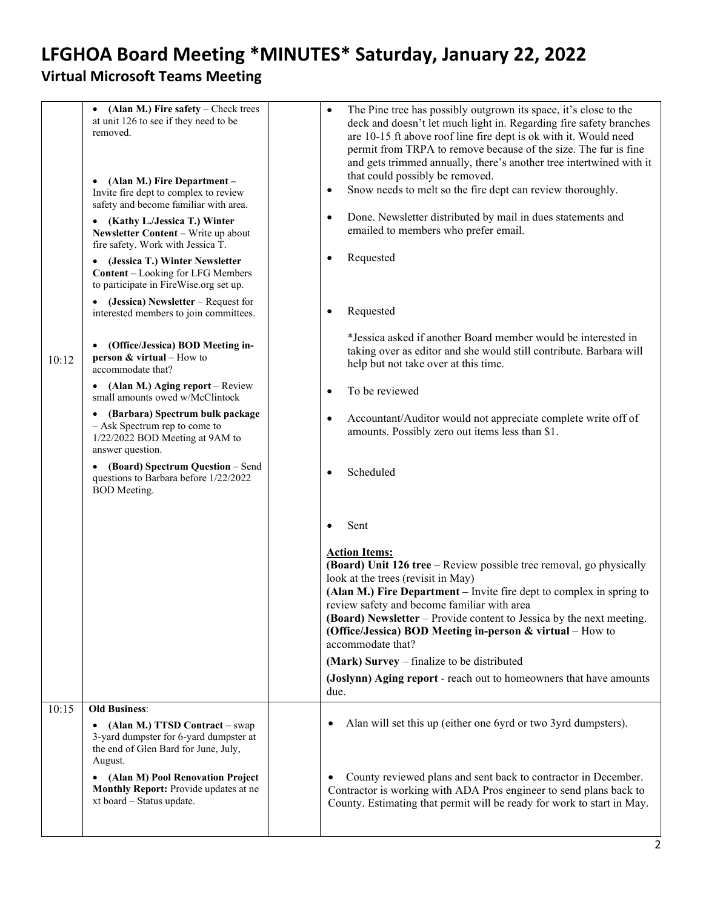| 10:12 | (Alan M.) Fire safety – Check trees<br>$\bullet$<br>at unit 126 to see if they need to be<br>removed.<br>(Alan M.) Fire Department -<br>$\bullet$<br>Invite fire dept to complex to review<br>safety and become familiar with area.<br>• (Kathy L./Jessica T.) Winter<br>Newsletter Content - Write up about<br>fire safety. Work with Jessica T.<br>(Jessica T.) Winter Newsletter<br><b>Content</b> – Looking for LFG Members<br>to participate in FireWise.org set up.<br>(Jessica) Newsletter – Request for<br>interested members to join committees.<br>(Office/Jessica) BOD Meeting in-<br>٠<br><b>person &amp; virtual</b> – How to<br>accommodate that?<br>• (Alan M.) Aging report – Review<br>small amounts owed w/McClintock<br>• (Barbara) Spectrum bulk package<br>- Ask Spectrum rep to come to<br>1/22/2022 BOD Meeting at 9AM to<br>answer question.<br>• (Board) Spectrum Question - Send<br>questions to Barbara before 1/22/2022<br><b>BOD</b> Meeting. | The Pine tree has possibly outgrown its space, it's close to the<br>$\bullet$<br>deck and doesn't let much light in. Regarding fire safety branches<br>are 10-15 ft above roof line fire dept is ok with it. Would need<br>permit from TRPA to remove because of the size. The fur is fine<br>and gets trimmed annually, there's another tree intertwined with it<br>that could possibly be removed.<br>Snow needs to melt so the fire dept can review thoroughly.<br>$\bullet$<br>Done. Newsletter distributed by mail in dues statements and<br>$\bullet$<br>emailed to members who prefer email.<br>Requested<br>$\bullet$<br>Requested<br>$\bullet$<br>*Jessica asked if another Board member would be interested in<br>taking over as editor and she would still contribute. Barbara will<br>help but not take over at this time.<br>To be reviewed<br>$\bullet$<br>Accountant/Auditor would not appreciate complete write off of<br>$\bullet$<br>amounts. Possibly zero out items less than \$1.<br>Scheduled<br>Sent<br>$\bullet$<br><b>Action Items:</b><br>(Board) Unit 126 tree - Review possible tree removal, go physically<br>look at the trees (revisit in May)<br>(Alan M.) Fire Department - Invite fire dept to complex in spring to<br>review safety and become familiar with area<br>(Board) Newsletter – Provide content to Jessica by the next meeting.<br>(Office/Jessica) BOD Meeting in-person & virtual – How to<br>accommodate that? |
|-------|----------------------------------------------------------------------------------------------------------------------------------------------------------------------------------------------------------------------------------------------------------------------------------------------------------------------------------------------------------------------------------------------------------------------------------------------------------------------------------------------------------------------------------------------------------------------------------------------------------------------------------------------------------------------------------------------------------------------------------------------------------------------------------------------------------------------------------------------------------------------------------------------------------------------------------------------------------------------------|----------------------------------------------------------------------------------------------------------------------------------------------------------------------------------------------------------------------------------------------------------------------------------------------------------------------------------------------------------------------------------------------------------------------------------------------------------------------------------------------------------------------------------------------------------------------------------------------------------------------------------------------------------------------------------------------------------------------------------------------------------------------------------------------------------------------------------------------------------------------------------------------------------------------------------------------------------------------------------------------------------------------------------------------------------------------------------------------------------------------------------------------------------------------------------------------------------------------------------------------------------------------------------------------------------------------------------------------------------------------------------------------------------------------------------------------------------------|
|       |                                                                                                                                                                                                                                                                                                                                                                                                                                                                                                                                                                                                                                                                                                                                                                                                                                                                                                                                                                            | (Mark) Survey – finalize to be distributed                                                                                                                                                                                                                                                                                                                                                                                                                                                                                                                                                                                                                                                                                                                                                                                                                                                                                                                                                                                                                                                                                                                                                                                                                                                                                                                                                                                                                     |
|       |                                                                                                                                                                                                                                                                                                                                                                                                                                                                                                                                                                                                                                                                                                                                                                                                                                                                                                                                                                            | (Joslynn) Aging report - reach out to homeowners that have amounts<br>due.                                                                                                                                                                                                                                                                                                                                                                                                                                                                                                                                                                                                                                                                                                                                                                                                                                                                                                                                                                                                                                                                                                                                                                                                                                                                                                                                                                                     |
| 10:15 | <b>Old Business:</b>                                                                                                                                                                                                                                                                                                                                                                                                                                                                                                                                                                                                                                                                                                                                                                                                                                                                                                                                                       |                                                                                                                                                                                                                                                                                                                                                                                                                                                                                                                                                                                                                                                                                                                                                                                                                                                                                                                                                                                                                                                                                                                                                                                                                                                                                                                                                                                                                                                                |
|       | (Alan M.) TTSD Contract – swap<br>٠<br>3-yard dumpster for 6-yard dumpster at<br>the end of Glen Bard for June, July,<br>August.                                                                                                                                                                                                                                                                                                                                                                                                                                                                                                                                                                                                                                                                                                                                                                                                                                           | Alan will set this up (either one 6yrd or two 3yrd dumpsters).                                                                                                                                                                                                                                                                                                                                                                                                                                                                                                                                                                                                                                                                                                                                                                                                                                                                                                                                                                                                                                                                                                                                                                                                                                                                                                                                                                                                 |
|       | • (Alan M) Pool Renovation Project<br>Monthly Report: Provide updates at ne<br>xt board - Status update.                                                                                                                                                                                                                                                                                                                                                                                                                                                                                                                                                                                                                                                                                                                                                                                                                                                                   | County reviewed plans and sent back to contractor in December.<br>Contractor is working with ADA Pros engineer to send plans back to<br>County. Estimating that permit will be ready for work to start in May.                                                                                                                                                                                                                                                                                                                                                                                                                                                                                                                                                                                                                                                                                                                                                                                                                                                                                                                                                                                                                                                                                                                                                                                                                                                 |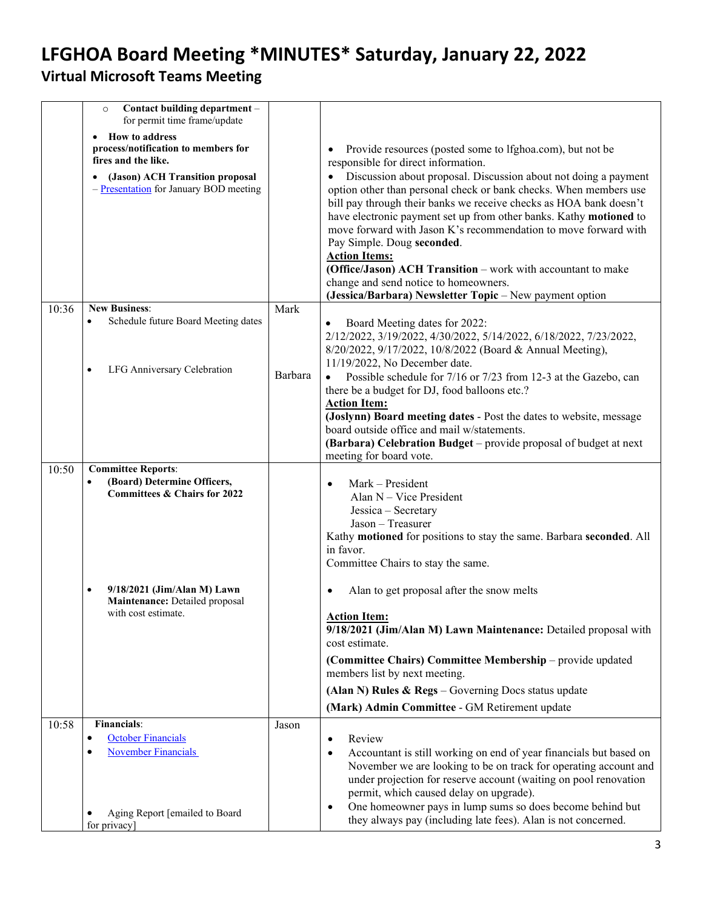# **LFGHOA Board Meeting \*MINUTES\* Saturday, January 22, 2022**

### **Virtual Microsoft Teams Meeting**

<span id="page-2-0"></span>

|       | Contact building department -<br>$\circ$<br>for permit time frame/update<br><b>How to address</b><br>$\bullet$<br>process/notification to members for<br>fires and the like.<br>(Jason) ACH Transition proposal<br>$-\frac{\text{Presentation}}{\text{P}}$ for January BOD meeting |         | Provide resources (posted some to lfghoa.com), but not be<br>$\bullet$<br>responsible for direct information.<br>Discussion about proposal. Discussion about not doing a payment<br>option other than personal check or bank checks. When members use<br>bill pay through their banks we receive checks as HOA bank doesn't<br>have electronic payment set up from other banks. Kathy motioned to<br>move forward with Jason K's recommendation to move forward with<br>Pay Simple. Doug seconded.<br><b>Action Items:</b><br>(Office/Jason) ACH Transition - work with accountant to make<br>change and send notice to homeowners.<br>(Jessica/Barbara) Newsletter Topic - New payment option |
|-------|------------------------------------------------------------------------------------------------------------------------------------------------------------------------------------------------------------------------------------------------------------------------------------|---------|------------------------------------------------------------------------------------------------------------------------------------------------------------------------------------------------------------------------------------------------------------------------------------------------------------------------------------------------------------------------------------------------------------------------------------------------------------------------------------------------------------------------------------------------------------------------------------------------------------------------------------------------------------------------------------------------|
| 10:36 | <b>New Business:</b>                                                                                                                                                                                                                                                               | Mark    |                                                                                                                                                                                                                                                                                                                                                                                                                                                                                                                                                                                                                                                                                                |
|       | Schedule future Board Meeting dates<br>$\bullet$<br>LFG Anniversary Celebration                                                                                                                                                                                                    |         | Board Meeting dates for 2022:<br>2/12/2022, 3/19/2022, 4/30/2022, 5/14/2022, 6/18/2022, 7/23/2022,<br>8/20/2022, 9/17/2022, 10/8/2022 (Board & Annual Meeting),<br>11/19/2022, No December date.                                                                                                                                                                                                                                                                                                                                                                                                                                                                                               |
|       |                                                                                                                                                                                                                                                                                    | Barbara | Possible schedule for 7/16 or 7/23 from 12-3 at the Gazebo, can                                                                                                                                                                                                                                                                                                                                                                                                                                                                                                                                                                                                                                |
|       |                                                                                                                                                                                                                                                                                    |         | there be a budget for DJ, food balloons etc.?<br><b>Action Item:</b>                                                                                                                                                                                                                                                                                                                                                                                                                                                                                                                                                                                                                           |
|       |                                                                                                                                                                                                                                                                                    |         | (Joslynn) Board meeting dates - Post the dates to website, message                                                                                                                                                                                                                                                                                                                                                                                                                                                                                                                                                                                                                             |
|       |                                                                                                                                                                                                                                                                                    |         | board outside office and mail w/statements.<br>(Barbara) Celebration Budget - provide proposal of budget at next                                                                                                                                                                                                                                                                                                                                                                                                                                                                                                                                                                               |
|       |                                                                                                                                                                                                                                                                                    |         | meeting for board vote.                                                                                                                                                                                                                                                                                                                                                                                                                                                                                                                                                                                                                                                                        |
| 10:50 | <b>Committee Reports:</b>                                                                                                                                                                                                                                                          |         |                                                                                                                                                                                                                                                                                                                                                                                                                                                                                                                                                                                                                                                                                                |
|       | (Board) Determine Officers,<br>$\bullet$<br>Committees & Chairs for 2022                                                                                                                                                                                                           |         | Mark - President                                                                                                                                                                                                                                                                                                                                                                                                                                                                                                                                                                                                                                                                               |
|       |                                                                                                                                                                                                                                                                                    |         | Alan N - Vice President<br>Jessica - Secretary                                                                                                                                                                                                                                                                                                                                                                                                                                                                                                                                                                                                                                                 |
|       |                                                                                                                                                                                                                                                                                    |         | Jason - Treasurer                                                                                                                                                                                                                                                                                                                                                                                                                                                                                                                                                                                                                                                                              |
|       |                                                                                                                                                                                                                                                                                    |         | Kathy motioned for positions to stay the same. Barbara seconded. All                                                                                                                                                                                                                                                                                                                                                                                                                                                                                                                                                                                                                           |
|       |                                                                                                                                                                                                                                                                                    |         | in favor.<br>Committee Chairs to stay the same.                                                                                                                                                                                                                                                                                                                                                                                                                                                                                                                                                                                                                                                |
|       |                                                                                                                                                                                                                                                                                    |         |                                                                                                                                                                                                                                                                                                                                                                                                                                                                                                                                                                                                                                                                                                |
|       | 9/18/2021 (Jim/Alan M) Lawn<br>$\bullet$<br>Maintenance: Detailed proposal                                                                                                                                                                                                         |         | Alan to get proposal after the snow melts<br>٠                                                                                                                                                                                                                                                                                                                                                                                                                                                                                                                                                                                                                                                 |
|       | with cost estimate.                                                                                                                                                                                                                                                                |         | Action Item:                                                                                                                                                                                                                                                                                                                                                                                                                                                                                                                                                                                                                                                                                   |
|       |                                                                                                                                                                                                                                                                                    |         | 9/18/2021 (Jim/Alan M) Lawn Maintenance: Detailed proposal with<br>cost estimate.                                                                                                                                                                                                                                                                                                                                                                                                                                                                                                                                                                                                              |
|       |                                                                                                                                                                                                                                                                                    |         | (Committee Chairs) Committee Membership - provide updated                                                                                                                                                                                                                                                                                                                                                                                                                                                                                                                                                                                                                                      |
|       |                                                                                                                                                                                                                                                                                    |         | members list by next meeting.                                                                                                                                                                                                                                                                                                                                                                                                                                                                                                                                                                                                                                                                  |
|       |                                                                                                                                                                                                                                                                                    |         | (Alan N) Rules $\&$ Regs – Governing Docs status update                                                                                                                                                                                                                                                                                                                                                                                                                                                                                                                                                                                                                                        |
|       |                                                                                                                                                                                                                                                                                    |         | (Mark) Admin Committee - GM Retirement update                                                                                                                                                                                                                                                                                                                                                                                                                                                                                                                                                                                                                                                  |
| 10:58 | <b>Financials:</b>                                                                                                                                                                                                                                                                 | Jason   |                                                                                                                                                                                                                                                                                                                                                                                                                                                                                                                                                                                                                                                                                                |
|       | <b>October Financials</b><br>$\bullet$<br><b>November Financials</b>                                                                                                                                                                                                               |         | Review<br>$\bullet$<br>Accountant is still working on end of year financials but based on                                                                                                                                                                                                                                                                                                                                                                                                                                                                                                                                                                                                      |
|       |                                                                                                                                                                                                                                                                                    |         | November we are looking to be on track for operating account and                                                                                                                                                                                                                                                                                                                                                                                                                                                                                                                                                                                                                               |
|       |                                                                                                                                                                                                                                                                                    |         | under projection for reserve account (waiting on pool renovation                                                                                                                                                                                                                                                                                                                                                                                                                                                                                                                                                                                                                               |
|       |                                                                                                                                                                                                                                                                                    |         | permit, which caused delay on upgrade).<br>One homeowner pays in lump sums so does become behind but                                                                                                                                                                                                                                                                                                                                                                                                                                                                                                                                                                                           |
|       | Aging Report [emailed to Board<br>for privacy]                                                                                                                                                                                                                                     |         | they always pay (including late fees). Alan is not concerned.                                                                                                                                                                                                                                                                                                                                                                                                                                                                                                                                                                                                                                  |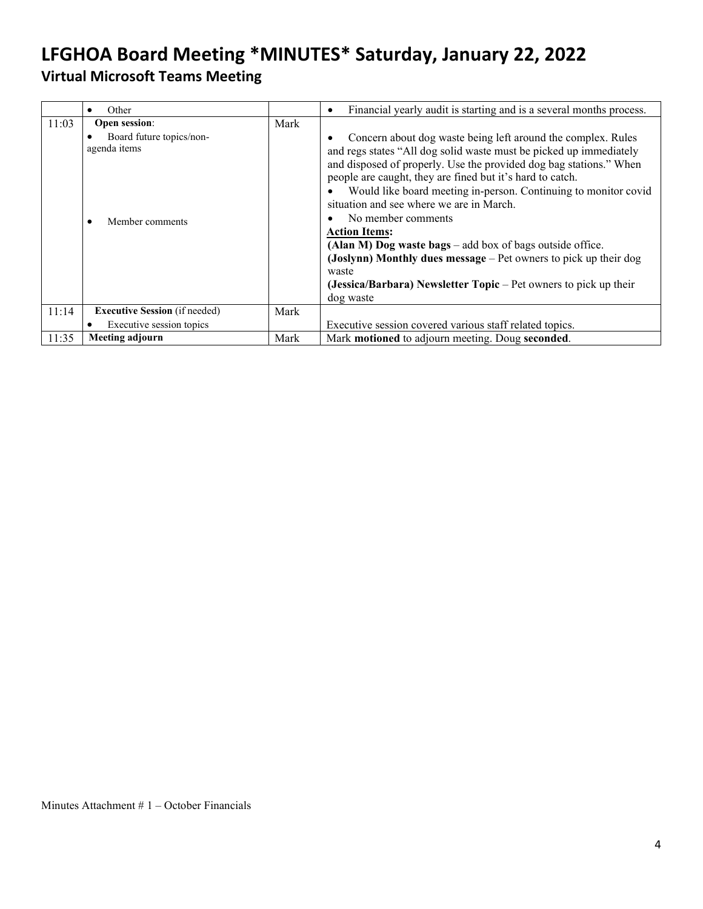<span id="page-3-0"></span>

|       | Other<br>$\bullet$                                          |      | Financial yearly audit is starting and is a several months process.<br>$\bullet$                                                                                                                                                                                                                                                                                                                                                                                                                                                                                                                                                                                |
|-------|-------------------------------------------------------------|------|-----------------------------------------------------------------------------------------------------------------------------------------------------------------------------------------------------------------------------------------------------------------------------------------------------------------------------------------------------------------------------------------------------------------------------------------------------------------------------------------------------------------------------------------------------------------------------------------------------------------------------------------------------------------|
| 11:03 | Open session:                                               | Mark |                                                                                                                                                                                                                                                                                                                                                                                                                                                                                                                                                                                                                                                                 |
|       | Board future topics/non-<br>agenda items<br>Member comments |      | Concern about dog waste being left around the complex. Rules<br>and regs states "All dog solid waste must be picked up immediately<br>and disposed of properly. Use the provided dog bag stations." When<br>people are caught, they are fined but it's hard to catch.<br>Would like board meeting in-person. Continuing to monitor covid<br>situation and see where we are in March.<br>No member comments<br><b>Action Items:</b><br>(Alan M) Dog waste bags - add box of bags outside office.<br>(Joslynn) Monthly dues message $-$ Pet owners to pick up their dog<br>waste<br>(Jessica/Barbara) Newsletter Topic – Pet owners to pick up their<br>dog waste |
| 11:14 | <b>Executive Session</b> (if needed)                        | Mark |                                                                                                                                                                                                                                                                                                                                                                                                                                                                                                                                                                                                                                                                 |
|       | Executive session topics<br>$\bullet$                       |      | Executive session covered various staff related topics.                                                                                                                                                                                                                                                                                                                                                                                                                                                                                                                                                                                                         |
| 11:35 | Meeting adjourn                                             | Mark | Mark motioned to adjourn meeting. Doug seconded.                                                                                                                                                                                                                                                                                                                                                                                                                                                                                                                                                                                                                |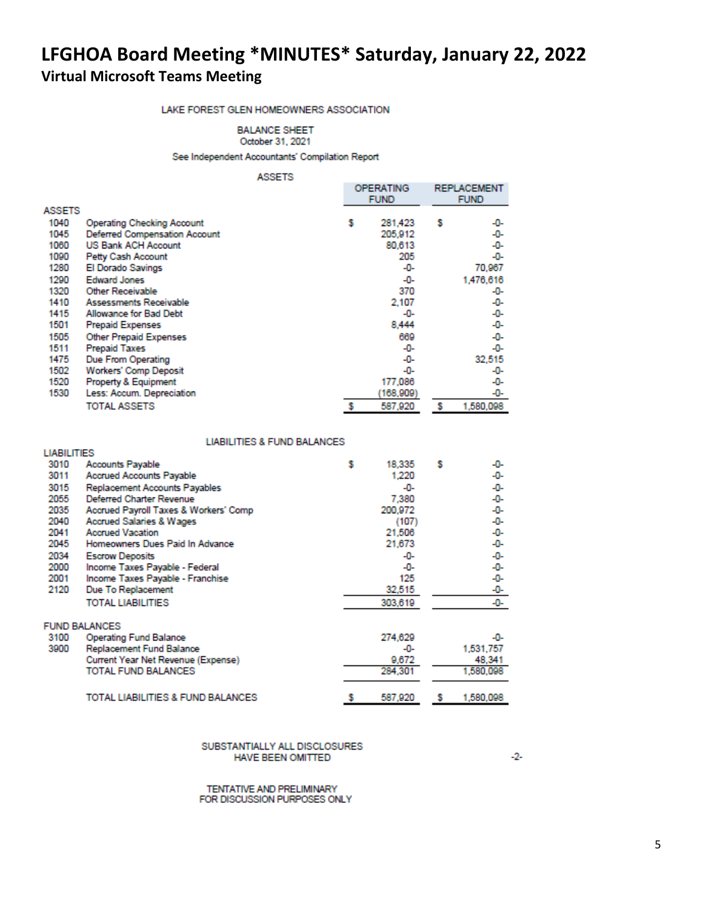#### LAKE FOREST GLEN HOMEOWNERS ASSOCIATION

#### **BALANCE SHEET** October 31, 2021

See Independent Accountants' Compilation Report

#### **ASSETS**

|        |                                   |   | OPERATING<br><b>FUND</b> |   |           |
|--------|-----------------------------------|---|--------------------------|---|-----------|
| ASSETS |                                   |   |                          |   |           |
| 1040   | <b>Operating Checking Account</b> | s | 281,423                  | s | -0-       |
| 1045   | Deferred Compensation Account     |   | 205,912                  |   | -0-       |
| 1060   | <b>US Bank ACH Account</b>        |   | 80,613                   |   | -0-       |
| 1090   | Petty Cash Account                |   | 205                      |   | -0-       |
| 1280   | El Dorado Savings                 |   | -0-                      |   | 70,967    |
| 1290   | <b>Edward Jones</b>               |   | -0-                      |   | 1,476,616 |
| 1320   | Other Receivable                  |   | 370                      |   | -0-       |
| 1410   | Assessments Receivable            |   | 2.107                    |   | -0-       |
| 1415   | Allowance for Bad Debt            |   | -0-                      |   | -0-       |
| 1501   | <b>Prepaid Expenses</b>           |   | 8,444                    |   | -0-       |
| 1505   | <b>Other Prepaid Expenses</b>     |   | 669                      |   | -0-       |
| 1511   | <b>Prepaid Taxes</b>              |   | -0-                      |   | -0-       |
| 1475   | Due From Operating                |   | -0-                      |   | 32,515    |
| 1502   | Workers' Comp Deposit             |   | -0-                      |   | -0-       |
| 1520   | <b>Property &amp; Equipment</b>   |   | 177,086                  |   | -0-       |
| 1530   | Less: Accum. Depreciation         |   | (168,909)                |   | -0-       |
|        | <b>TOTAL ASSETS</b>               |   | 587,920                  | s | 1,580,098 |

#### **LIABILITIES & FUND BALANCES**

**LIADO PRES** 

| шавіцні і ісэ |                                       |   |         |   |           |
|---------------|---------------------------------------|---|---------|---|-----------|
| 3010          | Accounts Payable                      | s | 18,335  | s | -0-       |
| 3011          | <b>Accrued Accounts Payable</b>       |   | 1,220   |   | -0-       |
| 3015          | Replacement Accounts Payables         |   | -0-     |   | -0-       |
| 2055          | <b>Deferred Charter Revenue</b>       |   | 7,380   |   | -0-       |
| 2035          | Accrued Payroll Taxes & Workers' Comp |   | 200,972 |   | -0-       |
| 2040          | <b>Accrued Salaries &amp; Wages</b>   |   | (107)   |   | -0-       |
| 2041          | <b>Accrued Vacation</b>               |   | 21,506  |   | -0-       |
| 2045          | Homeowners Dues Paid In Advance       |   | 21,673  |   | -0-       |
| 2034          | <b>Escrow Deposits</b>                |   | -0-     |   | -0-       |
| 2000          | Income Taxes Payable - Federal        |   | -0-     |   | -0-       |
| 2001          | Income Taxes Payable - Franchise      |   | 125     |   | -0-       |
| 2120          | Due To Replacement                    |   | 32,515  |   | -0-       |
|               | <b>TOTAL LIABILITIES</b>              |   | 303,619 |   | -0-       |
|               | <b>FUND BALANCES</b>                  |   |         |   |           |
| 3100          | <b>Operating Fund Balance</b>         |   | 274,629 |   | -0-       |
| 3900          | Replacement Fund Balance              |   | -0-     |   | 1,531,757 |
|               | Current Year Net Revenue (Expense)    |   | 9,672   |   | 48,341    |
|               | TOTAL FUND BALANCES                   |   | 284,301 |   | 1,580,098 |
|               | TOTAL LIABILITIES & FUND BALANCES     |   | 587,920 | s | 1,580,098 |

#### SUBSTANTIALLY ALL DISCLOSURES **HAVE BEEN OMITTED**

TENTATIVE AND PRELIMINARY FOR DISCUSSION PURPOSES ONLY  $-2-$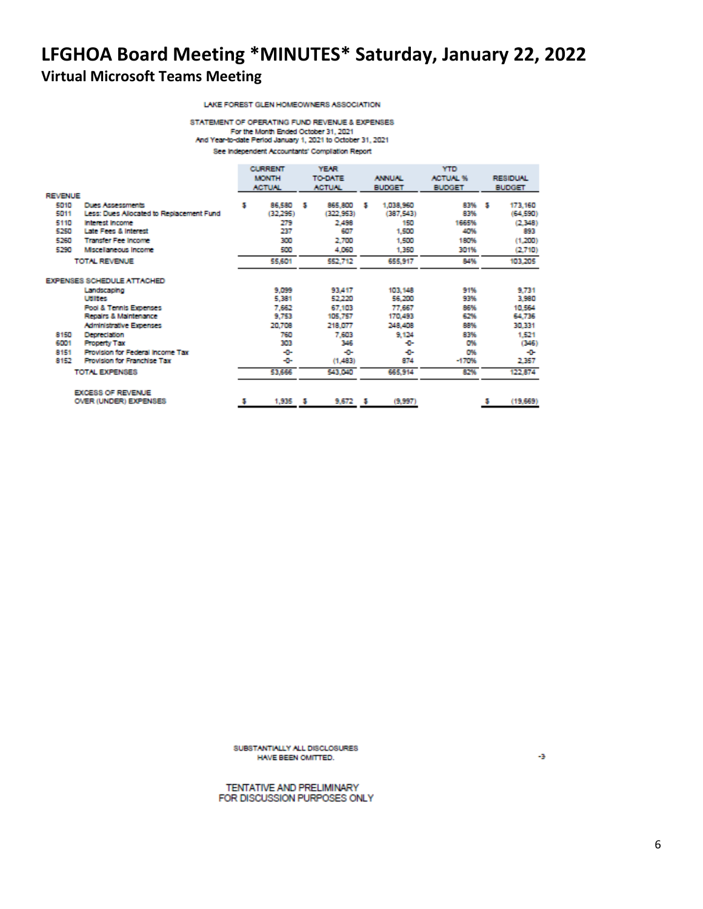#### LAKE FOREST GLEN HOMEOWNERS ASSOCIATION

STATEMENT OF OPERATING FUND REVENUE & EXPENSES For the Month Ended October 31, 2021 And Year-to-date Period January 1, 2021 to October 31, 2021 See Independent Accountants' Compilation Report

|                |                                          |   | <b>CURRENT</b> | <b>YEAR</b> |               |   | <b>YTD</b>    |                 |   |                 |  |
|----------------|------------------------------------------|---|----------------|-------------|---------------|---|---------------|-----------------|---|-----------------|--|
|                |                                          |   | <b>MONTH</b>   |             | TO DATE       |   | <b>ANNUAL</b> | <b>ACTUAL %</b> |   | <b>RESIDUAL</b> |  |
|                |                                          |   | <b>ACTUNL</b>  |             | <b>ACTUNE</b> |   | <b>BUDGET</b> | <b>BUDGET</b>   |   | <b>BUDGET</b>   |  |
| <b>REVENUE</b> |                                          |   |                |             |               |   |               |                 |   |                 |  |
| 5010           | Dues Assessments                         | 5 | 86,580         | - 5         | 865,800       | м | 1,038,960     | 83% \$          |   | 173,160         |  |
| 5011           | Less: Dues Allocated to Replacement Fund |   | (32,295)       |             | (322, 953)    |   | (387.543)     | 83%             |   | (64, 590)       |  |
| 5110           | <b>Interest Income</b>                   |   | 279            |             | 2,498         |   | 150           | 1665%           |   | (2.348)         |  |
| 5250           | Late Fees & Interest                     |   | 237            |             | 607           |   | 1,500         | 40%             |   | 893             |  |
| 5260           | <b>Transfer Fee Income</b>               |   | 300            |             | 2,700         |   | 1,500         | 180%            |   | (1,200)         |  |
| 5290           | Mscelaneous Income                       |   | 500            |             | 4,060         |   | 1,350         | 301%            |   | (2.710)         |  |
|                | TOTAL REVENUE                            |   | 55,601         |             | 552,712       |   | 655,917       | 84%             |   | 103,205         |  |
|                | <b>EXPENSES SCHEDULE ATTACHED</b>        |   |                |             |               |   |               |                 |   |                 |  |
|                | Landscaping                              |   | 9,099          |             | 93,417        |   | 103, 148      | 91%             |   | 9,731           |  |
|                | Utilities                                |   | 5,381          |             | 52,220        |   | 56,200        | 93%             |   | 3,980           |  |
|                | <b>Pool &amp; Tennis Expenses</b>        |   | 7,662          |             | 67,103        |   | 77,667        | 86%             |   | 10,564          |  |
|                | Repairs & Maintenance                    |   | 9.753          |             | 105,757       |   | 170,493       | 62%             |   | 64,736          |  |
|                | <b>Administrative Expenses</b>           |   | 20,708         |             | 218,077       |   | 248,408       | 88%             |   | 30,331          |  |
| 8150           | <b>Depreciation</b>                      |   | 760            |             | 7,603         |   | 9.124         | 83%             |   | 1,521           |  |
| 6001           | <b>Property Tax</b>                      |   | 303            |             | 346           |   | ÷             | O%              |   | (345)           |  |
| 8151           | Provision for Federal Income Tax         |   | -0-            |             | ÷             |   | ÷             | O%              |   | -0-             |  |
| 8152           | Provision for Franchise Tax              |   | -0-            |             | (1,483)       |   | 874           | $-170%$         |   | 2,357           |  |
|                | TOTAL EXPENSES                           |   | 53,666         |             | 543,040       |   | 665,914       | 82%             |   | 122,874         |  |
|                | <b>EXCESS OF REVENUE</b>                 |   |                |             |               |   |               |                 |   |                 |  |
|                | OVER (UNDER) EXPENSES                    | s | 1,935          | - 5         | 9,672         | ъ | (9.997)       |                 | s | (19,669)        |  |

SUBSTANTIALLY ALL DISCLOSURES HAVE BEEN OMITTED.

TENTATIVE AND PRELIMINARY FOR DISCUSSION PURPOSES ONLY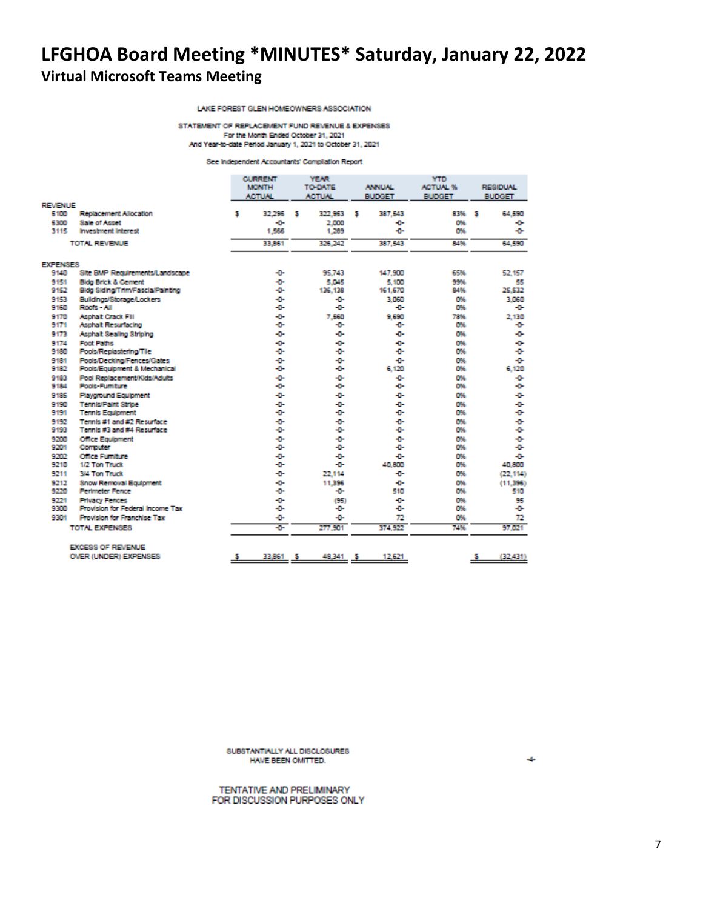LAKE FOREST GLEN HOMEOWNERS ASSOCIATION

STATEMENT OF REPLACEMENT FUND REVENUE & EXPENSES For the Month Ended October 31, 2021 And Year-to-date Period January 1, 2021 to October 31, 2021

See Independent Accountants' Compliation Report

|                 |                                         | <b>CURRENT</b><br><b>MONTH</b><br><b>ACTUAL</b> |        |   | <b>YEAR</b><br>TO DATE<br><b>ACTUAL</b> |   | <b>ANNUAL</b><br><b>BUDGET</b> |  | <b>YTD</b><br><b>ACTUAL %</b><br><b>BUDGET</b> |    | <b>RESIDUAL</b><br><b>BUDGET</b> |
|-----------------|-----------------------------------------|-------------------------------------------------|--------|---|-----------------------------------------|---|--------------------------------|--|------------------------------------------------|----|----------------------------------|
| <b>REVENUE</b>  |                                         |                                                 |        |   |                                         |   |                                |  |                                                |    |                                  |
| 5100            | Replacement Allocation                  | 5                                               | 32.295 | м | 322.953                                 | м | 387.543                        |  | 83%                                            | s  | 64,590                           |
| 5300            | Sale of Asset                           |                                                 | -0-    |   | 2.000                                   |   | ÷                              |  | 0%                                             |    | ÷                                |
| 3115            | <b>Investment Interest</b>              |                                                 | 1,566  |   | 1,289                                   |   | ÷                              |  | D%                                             |    | ÷                                |
|                 | <b>TOTAL REVENUE</b>                    |                                                 | 33,861 |   | 326,242                                 |   | 387.543                        |  | 84%                                            |    | 64,590                           |
| <b>EXPENSES</b> |                                         |                                                 |        |   |                                         |   |                                |  |                                                |    |                                  |
| 9140            | Site BMP Requirements/Landscape         |                                                 | -0-    |   | 95.743                                  |   | 147,900                        |  | 65%                                            |    | 52.157                           |
| 9151            | <b>Bidg Brick &amp; Cement</b>          |                                                 | -0-    |   | 5.045                                   |   | 5,100                          |  | 99%                                            |    | 55                               |
| 9152            | Bidg Siding/Trim/Fascia/Painting        |                                                 | -0-    |   | 136.138                                 |   | 161,670                        |  | 84%                                            |    | 25.532                           |
| 9153            | Buildings/Storage/Lockers               |                                                 | ÷      |   | ÷                                       |   | 3.060                          |  | 0%                                             |    | 3.060                            |
| 9160            | Roofs - All                             |                                                 | ÷      |   | -0-                                     |   | ÷                              |  | 0%                                             |    | ÷                                |
| 9170            | <b>Asphalt Crack Fill</b>               |                                                 | ÷D-    |   | 7.560                                   |   | 9.690                          |  | 78%                                            |    | 2.130                            |
| 9171            | Asphalt Resurfacing                     |                                                 | -0-    |   | -0-                                     |   | ÷                              |  | 0%                                             |    | ÷                                |
| 9173            | Asphalt Sealing Striping                |                                                 | ÷ū-    |   | ۰ū-                                     |   | ÷D-                            |  | D%                                             |    | ÷                                |
| 9174            | <b>Foot Paths</b>                       |                                                 | ÷      |   | ÷                                       |   | ÷.                             |  | D%                                             |    | ÷                                |
| 9180            | Pools/Replastering/Tile                 |                                                 | ÷      |   | ÷                                       |   | ÷.                             |  | O%                                             |    | ÷D-                              |
| 9181            | Pools/Decking/Fences/Gates              |                                                 | ÷      |   | ÷D-                                     |   | ÷                              |  | D%                                             |    | ÷                                |
| 9182            | Pools/Equipment & Mechanical            |                                                 | ÷      |   | ÷                                       |   | 6.120                          |  | D%                                             |    | 6.120                            |
| 9183            | Pool Replacement/Kids/Adults            |                                                 | -0-    |   | -0-                                     |   | ÷                              |  | D%                                             |    | ÷                                |
| 9184            | Pools-Fumiture                          |                                                 | -0-    |   | -0-                                     |   | ÷D-                            |  | O%                                             |    | ÷                                |
| 9185            | <b>Playground Equipment</b>             |                                                 | ÷ū-    |   | ÷D-                                     |   | ÷.                             |  | D%                                             |    | ÷                                |
| 9190            | <b>Tennis/Paint Stripe</b>              |                                                 | -0-    |   | -0-                                     |   | ÷                              |  | D%                                             |    | ÷                                |
| 9191            | <b>Tennis Equipment</b>                 |                                                 | -0-    |   | ÷œ                                      |   | ÷                              |  | D%                                             |    | ÷                                |
| 9192            | Tennis #1 and #2 Resurface              |                                                 | ÷0-    |   | -0-                                     |   | ÷                              |  | D%                                             |    | ÷                                |
| 9193            | Tennis #3 and #4 Resurface              |                                                 | ÷0-    |   | ÷D-                                     |   | ÷                              |  | D%                                             |    | ÷                                |
| 9200            | <b>Office Equipment</b>                 |                                                 | ÷      |   | -0-                                     |   | ÷                              |  | O%                                             |    | ÷                                |
| 9201            | Computer                                |                                                 | ÷      |   | ÷                                       |   | ÷D-                            |  | O%                                             |    | ÷                                |
| 9202            | <b>Office Furniture</b>                 |                                                 | -0-    |   | ÷                                       |   | ÷                              |  | D%                                             |    | ÷.                               |
| 9210            | 1/2 Ton Truck                           |                                                 | ÷      |   | ÷                                       |   | 40,800                         |  | 0%                                             |    | 40,800                           |
| 9211            | 3/4 Ton Truck                           |                                                 | -0-    |   | 22.114                                  |   | ÷                              |  | O%                                             |    | (22.114)                         |
| 9212            | <b>Snow Removal Equipment</b>           |                                                 | -0-    |   | 11,396                                  |   | ÷D-                            |  | D%                                             |    | (11.396)                         |
| 9220            | <b>Perimeter Fence</b>                  |                                                 | -0-    |   | -0-                                     |   | 510                            |  | O%                                             |    | 510                              |
| 9221            | <b>Privacy Fences</b>                   |                                                 | ÷      |   | (95)                                    |   | ÷                              |  | D%                                             |    | 95                               |
| 9300            | <b>Provision for Federal Income Tax</b> |                                                 | -0-    |   | ÷                                       |   | ÷                              |  | O%                                             |    | ÷                                |
| 9301            | Provision for Franchise Tax             |                                                 | -0-    |   | -0-                                     |   | 72                             |  | D%                                             |    | 72                               |
|                 | TOTAL EXPENSES                          |                                                 | ÷      |   | 277,901                                 |   | 374,922                        |  | 74%                                            |    | 97.021                           |
|                 | <b>EXCESS OF REVENUE</b>                |                                                 |        |   |                                         |   |                                |  |                                                |    |                                  |
|                 | OVER (UNDER) EXPENSES                   | <u>s</u>                                        | 33,861 | s | 48,341                                  | ъ | 12,621                         |  |                                                | J. | (32, 431)                        |

SUBSTANTIALLY ALL DISCLOSURES HAVE BEEN OMITTED.

TENTATIVE AND PRELIMINARY FOR DISCUSSION PURPOSES ONLY ÷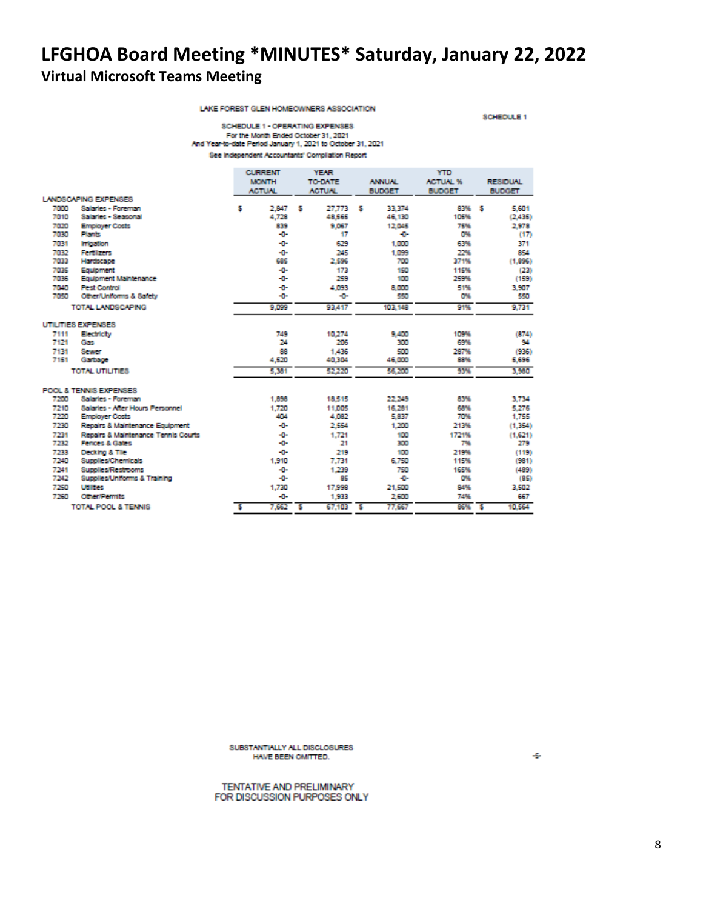LAKE FOREST GLEN HOMEOWNERS ASSOCIATION

SCHEDULE 1

SCHEDULE 1 - OPERATING EXPENSES For the Month Ended October 31, 2021<br>And Year-to-date Period January 1, 2021 to October 31, 2021 See Independent Accountants' Compliation Report

|      |                                     |   | <b>CURRENT</b> |   | <b>YEAR</b>    |   | YTD           |                 |       |                          |                 |
|------|-------------------------------------|---|----------------|---|----------------|---|---------------|-----------------|-------|--------------------------|-----------------|
|      |                                     |   | <b>MONTH</b>   |   | <b>TO-DATE</b> |   | <b>ANNUAL</b> | <b>ACTUAL %</b> |       |                          | <b>RESIDUAL</b> |
|      |                                     |   | <b>ACTUAL</b>  |   | <b>ACTUAL</b>  |   | <b>BUDGET</b> | <b>BUDGET</b>   |       |                          | <b>BUDGET</b>   |
|      | <b>LANDSCAPING EXPENSES</b>         |   |                |   |                |   |               |                 |       |                          |                 |
| 7000 | Salaries - Foreman                  | 5 | 2,847          | s | 27.773         | s | 33,374        |                 | 83%   | Б                        | 5,601           |
| 7010 | Salaries - Seasonal                 |   | 4,728          |   | 48,565         |   | 46,130        |                 | 105%  |                          | (2.435)         |
| 7020 | <b>Employer Costs</b>               |   | 839            |   | 9.067          |   | 12,045        |                 | 75%   |                          | 2,978           |
| 7030 | Plants                              |   | -0-            |   | 17             |   | ÷             |                 | O%    |                          | (17)            |
| 7031 | <b>Irrigation</b>                   |   | ÷0-            |   | 629            |   | 1,000         |                 | 63%   |                          | 371             |
| 7032 | <b>Fertilizers</b>                  |   | -0-            |   | 245            |   | 1,099         |                 | 22%   |                          | 854             |
| 7033 | Hardscape                           |   | 685            |   | 2,596          |   | 700           |                 | 371%  |                          | (1.896)         |
| 7035 | Equipment                           |   | -0-            |   | 173            |   | 150           |                 | 115%  |                          | (23)            |
| 7036 | Equipment Maintenance               |   | -0-            |   | 259            |   | 100           |                 | 259%  |                          | (159)           |
| 7040 | <b>Pest Control</b>                 |   | -0-            |   | 4,093          |   | 8,000         |                 | 51%   |                          | 3,907           |
| 7050 | Other/Uniforms & Safety             |   | -0-            |   | ÷œ             |   | 550           |                 | O%    |                          | 550             |
|      | TOTAL LANDSCAPING                   |   | 9.099          |   | 93,417         |   | 103,148       |                 | 91%   |                          | 9.731           |
|      | UTILITIES EXPENSES                  |   |                |   |                |   |               |                 |       |                          |                 |
| 7111 | Electricity                         |   | 749            |   | 10.274         |   | 9,400         |                 | 109%  |                          | (874)           |
| 7121 | Gas                                 |   | 24             |   | 206            |   | 300           |                 | 69%   |                          | 94              |
| 7131 | Sewer                               |   | 88             |   | 1,436          |   | 500           |                 | 287%  |                          | (936)           |
| 7151 | Garbage                             |   | 4.520          |   | 40.304         |   | 46,000        |                 | 88%   |                          | 5,696           |
|      | TOTAL UTILITIES                     |   | 5.381          |   | 52.220         |   | 56,200        |                 | 93%   |                          | 3.980           |
|      | POOL & TENNIS EXPENSES              |   |                |   |                |   |               |                 |       |                          |                 |
| 7200 | Salaries - Foreman                  |   | 1,898          |   | 18.515         |   | 22,249        |                 | 83%   |                          | 3.734           |
| 7210 | Salaries - After Hours Personnel    |   | 1.720          |   | 11,005         |   | 16,281        |                 | 68%   |                          | 5.276           |
| 7220 | <b>Employer Costs</b>               |   | 404            |   | 4,082          |   | 5,837         |                 | 70%   |                          | 1,755           |
| 7230 | Repairs & Maintenance Equipment     |   | -0-            |   | 2,554          |   | 1,200         |                 | 213%  |                          | (1,354)         |
| 7231 | Repairs & Maintenance Tennis Courts |   | -0-            |   | 1.721          |   | 100           |                 | 1721% |                          | (1.621)         |
| 7232 | Fences & Gates                      |   | -0-            |   | 21             |   | 300           |                 | 7%    |                          | 279             |
| 7233 | Decking & Tile                      |   | ÷ū-            |   | 219            |   | 100           |                 | 219%  |                          | (119)           |
| 7240 | Supplies/Chemicals                  |   | 1,910          |   | 7.731          |   | 6,750         |                 | 115%  |                          | (981)           |
| 7241 | <b>Supplies/Restrooms</b>           |   | -0-            |   | 1,239          |   | 750           |                 | 165%  |                          | (489)           |
| 7242 | Supplies/Uniforms & Training        |   | -0-            |   | 85             |   | ÷             |                 | O%    |                          | (85)            |
| 7250 | <b>Utilities</b>                    |   | 1.730          |   | 17,998         |   | 21,500        |                 | 84%   |                          | 3.502           |
| 7260 | Other/Permits                       |   | -0-            |   | 1,933          |   | 2,600         |                 | 74%   |                          | 667             |
|      | <b>TOTAL POOL &amp; TENNIS</b>      | 5 | 7,662          | s | 67,103         | s | 77,667        |                 | 86%   | $\overline{\phantom{a}}$ | 10.564          |

SUBSTANTIALLY ALL DISCLOSURES HAVE BEEN OMITTED.

TENTATIVE AND PRELIMINARY FOR DISCUSSION PURPOSES ONLY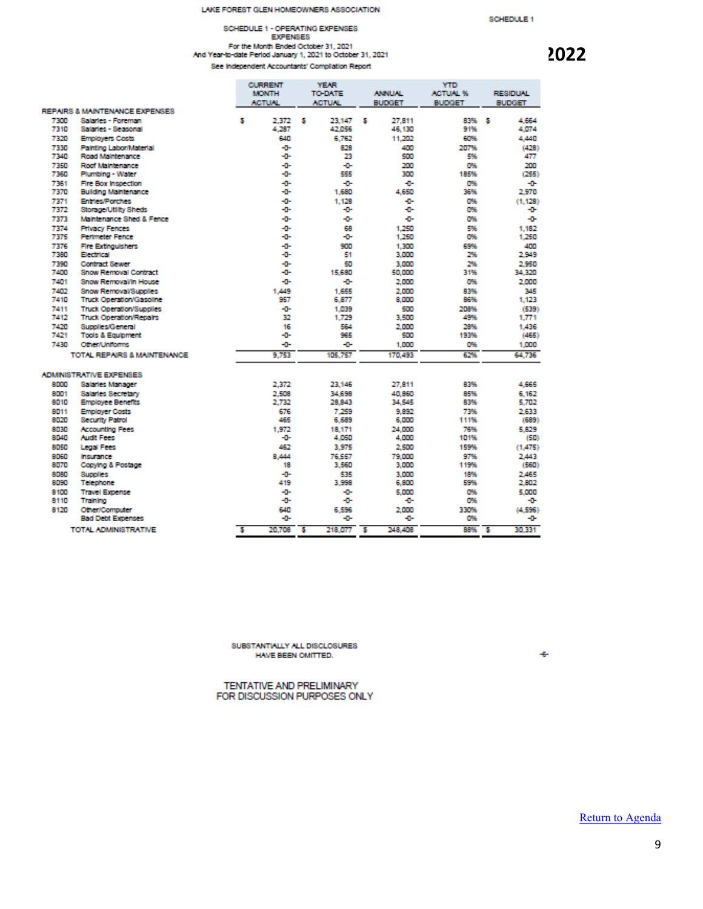#### LAKE FOREST GLEN HOMEOWNERS ASSOCIATION

# SCHEDULE 1 - OPERATING EXPENSES For the Month Ended October 31, 2021<br>And Year-to-date Period January 1, 2021 to October 31, 2021<br>See Independent Accountants' Compilation Report

### SCHEDULE 1

|              |                                      |   | <b>CURRENT</b> |           | <b>YEAR</b>   |    |               | <b>YTD</b>      |     |                 |
|--------------|--------------------------------------|---|----------------|-----------|---------------|----|---------------|-----------------|-----|-----------------|
|              |                                      |   | <b>MONTH</b>   |           | TO DATE       |    | <b>ANNUAL</b> | <b>ACTUAL %</b> |     | <b>RESIDUAL</b> |
|              |                                      |   | <b>ACTUAL</b>  |           | <b>ACTUAL</b> |    | <b>BUDGET</b> | <b>BUDGET</b>   |     | <b>BUDGET</b>   |
|              | REPAIRS & MAINTENANCE EXPENSES       |   |                |           |               |    |               |                 |     |                 |
| 7300         | Salaries - Foreman                   | 5 | 2.372          | s         | 23.147        | s  | 27.811        | 83%             | - 5 | 4.664           |
| 7310         | Salaries - Seasonai                  |   | 4.287          |           | 42.056        |    | 46,130        | 91%             |     | 4,074           |
| 7320         | <b>Employers Costs</b>               |   | 640            |           | 6.762         |    | 11,202        | 60%             |     | 4,440           |
| 7330         | Painting Labor/Material              |   | ÷0-            |           | 828           |    | 400           | 207%            |     | (428)           |
| 7340         | Road Maintenance                     |   | -0-            |           | 23            |    | 500           | 5%              |     | 477             |
| 7350<br>7360 | Roof Maintenance<br>Plumbing - Water |   | ÷0-<br>-0-     |           | -0-<br>555    |    | 200<br>300    | D%<br>185%      |     | 200<br>(255)    |
| 7361         | Fire Box Inspection                  |   | -0-            |           | -0-           |    | ÷             | O%              |     | ÷               |
| 7370         | <b>Building Maintenance</b>          |   | ÷0-            |           | 1,680         |    | 4.650         | 36%             |     | 2.970           |
| 7371         | <b>Entries/Porches</b>               |   | -0-            |           | 1.128         |    | ÷             | O%              |     | (1.128)         |
| 7372         | Storage/Utility Sheds                |   | ÷0-            |           | -0-           |    | ÷             | D%              |     | ÷               |
| 7373         | Maintenance Shed & Fence             |   | -0-            |           | -0-           |    | ÷             | O%              |     | ÷               |
| 7374         | <b>Privacy Fences</b>                |   | ÷0-            |           | 68            |    | 1.250         | 5%              |     | 1.182           |
| 7375         | <b>Perimeter Fence</b>               |   | -0-            |           | -0-           |    | 1.250         | O%              |     | 1.250           |
| 7376         | <b>Fire Extinguishers</b>            |   | -0-            |           | 900           |    | 1.300         | 69%             |     | 400             |
| 7380         | <b>Electrical</b>                    |   | ÷ō-            |           | 51            |    | 3,000         | 2%              |     | 2.949           |
| 7390         | <b>Contract Sewer</b>                |   | -0-            |           | 50            |    | 3,000         | 2%              |     | 2.950           |
| 7400         | <b>Snow Removal Contract</b>         |   | ÷              |           | 15,680        |    | 50,000        | 31%             |     | 34.320          |
| 7401         | Snow Removal/In House                |   | -0-            |           | -0-           |    | 2,000         | O%              |     | 2.000           |
| 7410         | Snow Removal/Supplies                |   | 1,449          |           | 1,655         |    | 2,000         | 83%             |     | 345             |
| 7410         | <b>Truck Operation/Gasoline</b>      |   | 957            |           | 6,877         |    | 8.000         | 86%             |     | 1.123           |
| 7411         | <b>Truck Operation/Supplies</b>      |   | -0-            |           | 1.039         |    | 500           | 208%            |     | (539)           |
| 7412         | <b>Truck Operation/Repairs</b>       |   | 32             |           | 1.729         |    | 3,500         | 49%             |     | 1.771           |
| 7420         | Supplies/General                     |   | 16             |           | 564           |    | 2,000         | 28%             |     | 1,436           |
| 7421         | <b>Tools &amp; Equipment</b>         |   | ÷D-            |           | 965           |    | 500           | 193%            |     | (465)           |
| 7430         | Other/Uniforms                       |   | -0-            |           | ÷             |    | 1.000         | O%              |     | 1,000           |
|              | TOTAL REPAIRS & MAINTENANCE          |   | 9.753          |           | 105,757       |    | 170,493       | 62%             |     | 64.736          |
|              | <b>ADMINISTRATIVE EXPENSES</b>       |   |                |           |               |    |               |                 |     |                 |
| 8000         | Salaries Manager                     |   | 2.372          |           | 23.146        |    | 27,811        | 83%             |     | 4,665           |
| 8001         | <b>Salaries Secretary</b>            |   | 2,508          |           | 34,698        |    | 40.860        | 85%             |     | 6.162           |
| 8010         | <b>Employee Benefits</b>             |   | 2.732          |           | 28.843        |    | 34,545        | 83%             |     | 5,702           |
| 8011         | <b>Employer Costs</b>                |   | 676            |           | 7.259         |    | 9.892         | 73%             |     | 2.633           |
| 8020         | Security Patrol                      |   | 465            |           | 6,689         |    | 6.000         | 111%            |     | (689)           |
| 8030         | <b>Accounting Fees</b>               |   | 1,972          |           | 18.171        |    | 24,000        | 76%             |     | 5.829           |
| 8040         | <b>Audit Fees</b>                    |   | -0-            |           | 4.050         |    | 4,000         | 101%            |     | (50)            |
| 8050         | Legal Fees                           |   | 462            |           | 3.975         |    | 2,500         | 159%            |     | (1.475)         |
| 8060         | Insurance                            |   | 8.444          |           | 76.557        |    | 79,000        | 97%             |     | 2,443           |
| 8070         | Copying & Postage                    |   | 18             |           | 3,560         |    | 3,000         | 119%            |     | (560)           |
| 8080         | Supplies                             |   | -0-<br>419     |           | 535           |    | 3.000         | 18%             |     | 2,465           |
| 8030         | Telephone                            |   |                |           | 3.998         |    | 6,800         | 59%             |     | 2,802           |
| 8100<br>8110 | <b>Travel Expense</b><br>Training    |   | -0-<br>-0-     |           | -0-<br>-0-    |    | 5,000<br>÷    | O%<br>O%        |     | 5,000<br>÷      |
| 8120         | Other/Computer                       |   | 640            |           | 6.596         |    | 2,000         | 330%            |     | (4.596)         |
|              | <b>Bad Debt Expenses</b>             |   | ÷              |           | ۰0            |    | ÷             | O%              |     | ÷               |
|              | TOTAL ADMINISTRATIVE                 | s | 20.708         | <b>−s</b> | 218 077       | "5 | 248.408       | 88%             | ு   | 30.331          |
|              |                                      |   |                |           |               |    |               |                 |     |                 |

SUBSTANTIALLY ALL DISCLOSURES HAVE BEEN OMITTED.

TENTATIVE AND PRELIMINARY FOR DISCUSSION PURPOSES ONLY

[Return to Agenda](#page-2-0)

 $-6-$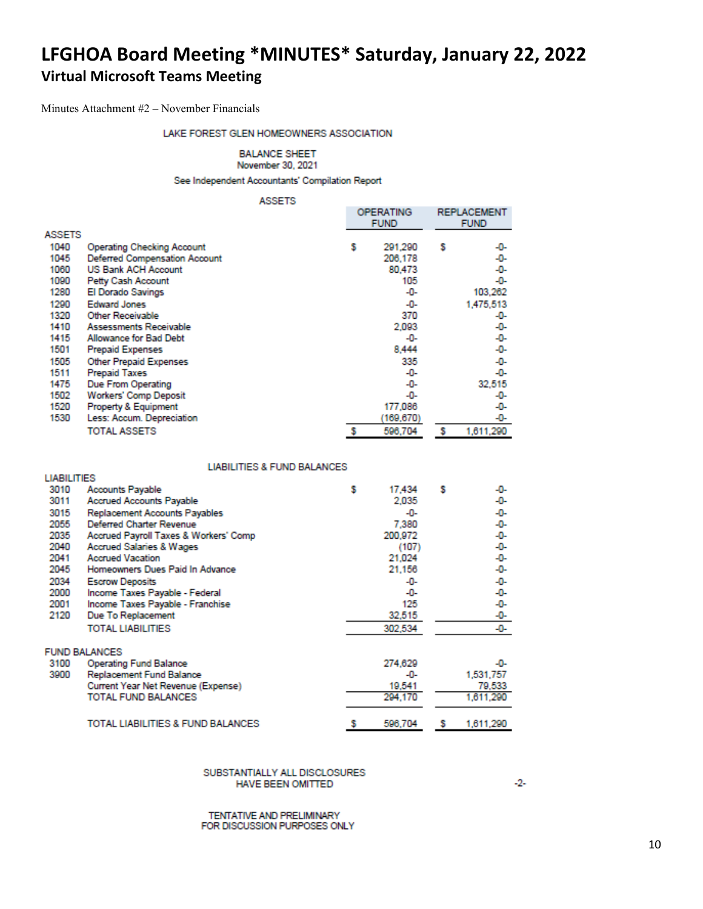<span id="page-9-0"></span>Minutes Attachment #2 – November Financials

### LAKE FOREST GLEN HOMEOWNERS ASSOCIATION

### **BALANCE SHEET**

November 30, 2021

See Independent Accountants' Compilation Report

**ASSETS** 

|               |                                   | <b>OPERATING</b><br><b>FUND</b> |           |   | <b>REPLACEMENT</b><br><b>FUND</b> |
|---------------|-----------------------------------|---------------------------------|-----------|---|-----------------------------------|
| <b>ASSETS</b> |                                   |                                 |           |   |                                   |
| 1040          | <b>Operating Checking Account</b> | s                               | 291,290   | s | -0-                               |
| 1045          | Deferred Compensation Account     |                                 | 206,178   |   | -0-                               |
| 1060          | <b>US Bank ACH Account</b>        |                                 | 80,473    |   | -0-                               |
| 1090          | Petty Cash Account                |                                 | 105       |   | -0-                               |
| 1280          | El Dorado Savings                 |                                 | -0-       |   | 103,262                           |
| 1290          | <b>Edward Jones</b>               |                                 | -0-       |   | 1,475,513                         |
| 1320          | Other Receivable                  |                                 | 370       |   | -0-                               |
| 1410          | Assessments Receivable            |                                 | 2,093     |   | -0-                               |
| 1415          | Allowance for Bad Debt            |                                 | -0-       |   | -0-                               |
| 1501          | <b>Prepaid Expenses</b>           |                                 | 8,444     |   | -0-                               |
| 1505          | Other Prepaid Expenses            |                                 | 335       |   | -0-                               |
| 1511          | <b>Prepaid Taxes</b>              |                                 | -0-       |   | -0-                               |
| 1475          | Due From Operating                |                                 | -0-       |   | 32,515                            |
| 1502          | <b>Workers' Comp Deposit</b>      |                                 | -0-       |   | -0-                               |
| 1520          | Property & Equipment              |                                 | 177,086   |   | -0-                               |
| 1530          | Less: Accum. Depreciation         |                                 | (169,670) |   | -0-                               |
|               | <b>TOTAL ASSETS</b>               |                                 | 596,704   |   | 1,611,290                         |

#### **LIABILITIES & FUND BALANCES**

| <b>LIABILITIES</b> |                                       |   |         |   |           |
|--------------------|---------------------------------------|---|---------|---|-----------|
| 3010               | Accounts Payable                      | s | 17,434  | s | -0-       |
| 3011               | <b>Accrued Accounts Payable</b>       |   | 2,035   |   | -0-       |
| 3015               | Replacement Accounts Payables         |   | -0-     |   | -0-       |
| 2055               | <b>Deferred Charter Revenue</b>       |   | 7,380   |   | -0-       |
| 2035               | Accrued Payroll Taxes & Workers' Comp |   | 200,972 |   | -0-       |
| 2040               | <b>Accrued Salaries &amp; Wages</b>   |   | (107)   |   | -0-       |
| 2041               | <b>Accrued Vacation</b>               |   | 21,024  |   | -0-       |
| 2045               | Homeowners Dues Paid In Advance       |   | 21,156  |   | -0-       |
| 2034               | <b>Escrow Deposits</b>                |   | -0-     |   | -0-       |
| 2000               | Income Taxes Payable - Federal        |   | -0-     |   | -0-       |
| 2001               | Income Taxes Payable - Franchise      |   | 125     |   | -0-       |
| 2120               | Due To Replacement                    |   | 32,515  |   | -0-       |
|                    | <b>TOTAL LIABILITIES</b>              |   | 302.534 |   | -0-       |
|                    | <b>FUND BALANCES</b>                  |   |         |   |           |
| 3100               | <b>Operating Fund Balance</b>         |   | 274,629 |   | -0-       |
| 3900               | Replacement Fund Balance              |   | -0-     |   | 1,531,757 |
|                    | Current Year Net Revenue (Expense)    |   | 19,541  |   | 79,533    |
|                    | TOTAL FUND BALANCES                   |   | 294,170 |   | 1,611,290 |
|                    | TOTAL LIABILITIES & FUND BALANCES     |   | 596,704 | s | 1,611,290 |

SUBSTANTIALLY ALL DISCLOSURES HAVE BEEN OMITTED

TENTATIVE AND PRELIMINARY FOR DISCUSSION PURPOSES ONLY  $-2 -$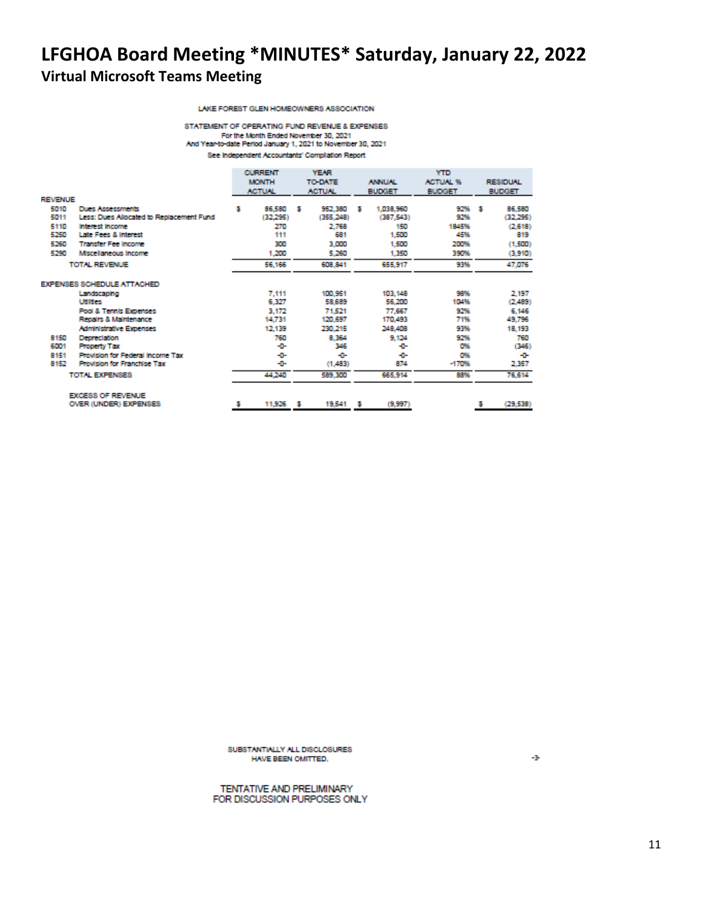LAKE FOREST GLEN HOMEOWNERS ASSOCIATION

STATEMENT OF OPERATING FUND REVENUE & EXPENSES For the Month Ended November 30, 2021<br>And Year-to-date Period January 1, 2021 to November 30, 2021 See Independent Accountants' Compilation Report

|         |                                          | <b>CURRENT</b> |               | <b>YEAR</b> |                |   | YTD           |                 |               |                 |
|---------|------------------------------------------|----------------|---------------|-------------|----------------|---|---------------|-----------------|---------------|-----------------|
|         |                                          |                | <b>MONTH</b>  |             | <b>TO-DATE</b> |   | <b>ANNUAL</b> | <b>ACTUAL %</b> |               | <b>RESIDUAL</b> |
|         |                                          |                | <b>ACTUAL</b> |             | <b>ACTUN.</b>  |   | <b>BUDGET</b> | <b>BUDGET</b>   | <b>BUDGET</b> |                 |
| REVENUE |                                          |                |               |             |                |   |               |                 |               |                 |
| 5010    | <b>Dues Assessments</b>                  | з              | 86,580        | - 5         | 952,380        | м | 1,038,960     | 92%             | м             | 86,580          |
| 5011    | Less: Dues Allocated to Replacement Fund |                | (32,295)      |             | (355, 248)     |   | (387, 543)    | 92%             |               | (32.295)        |
| 5110    | <b>Interest Income</b>                   |                | 270           |             | 2,768          |   | 150           | 1845%           |               | (2.618)         |
| 5250    | Late Fees & Interest                     |                | 111           |             | 681            |   | 1,500         | 45%             |               | 819             |
| 5260    | <b>Transfer Fee Income</b>               |                | 300           |             | 3,000          |   | 1,500         | 200%            |               | (1,500)         |
| 5290    | Mscellaneous Income                      |                | 1,200         |             | 5,260          |   | 1,350         | 390%            |               | (3,910)         |
|         | <b>TOTAL REVENUE</b>                     |                | 56,166        |             | 608,841        |   | 655,917       | 93%             |               | 47.076          |
|         | EXPENSES SCHEDULE ATTACHED               |                |               |             |                |   |               |                 |               |                 |
|         | Landscaping                              |                | 7,111         |             | 100,951        |   | 103,148       | 98%             |               | 2.197           |
|         | <b>Utilities</b>                         |                | 6,327         |             | 58,689         |   | 56,200        | 104%            |               | (2,489)         |
|         | <b>Pool &amp; Tennis Expenses</b>        |                | 3.172         |             | 71.521         |   | 77,667        | 92%             |               | 6.146           |
|         | Repairs & Maintenance                    |                | 14,731        |             | 120,697        |   | 170,493       | 71%             |               | 49,796          |
|         | <b>Administrative Expenses</b>           |                | 12,139        |             | 230,215        |   | 248,408       | 93%             |               | 18,193          |
| 8150    | Depreciation                             |                | 760           |             | 8.364          |   | 9,124         | 92%             |               | 760             |
| 6001    | <b>Property Tax</b>                      |                | -0-           |             | 346            |   | ÷             | 0%              |               | (346)           |
| 8151    | Provision for Federal Income Tax         |                | -0-           |             | -0-            |   | ÷             | O%              |               | -0-             |
| 8152    | Provision for Franchise Tax              |                | -0-           |             | (1,483)        |   | 874           | $-170%$         |               | 2,357           |
|         | TOTAL EXPENSES                           |                | 44,240        |             | 589,300        |   | 665,914       | 88%             |               | 76,614          |
|         | <b>EXCESS OF REVENUE</b>                 |                |               |             |                |   |               |                 |               |                 |
|         | OVER (UNDER) EXPENSES                    |                | 11,926 \$     |             | 19.541         | м | (9,997)       |                 |               | (29, 538)       |
|         |                                          |                |               |             |                |   |               |                 |               |                 |

SUBSTANTIALLY ALL DISCLOSURES HAVE BEEN OMITTED.

TENTATIVE AND PRELIMINARY FOR DISCUSSION PURPOSES ONLY ÷3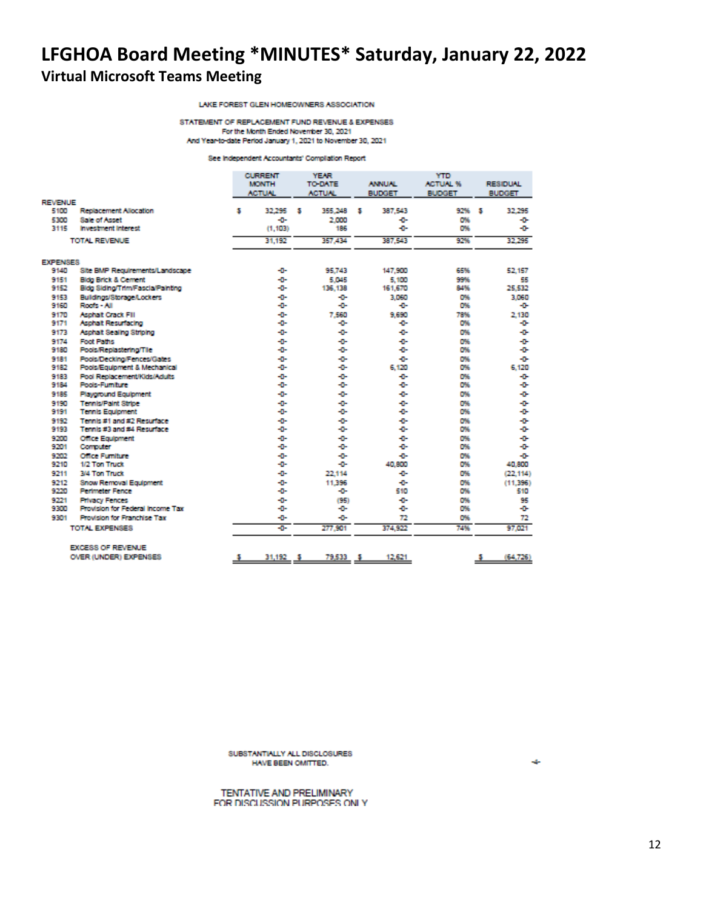LAKE FOREST GLEN HOMEOWNERS ASSOCIATION

STATEMENT OF REPLACEMENT FUND REVENUE & EXPENSES For the Month Ended November 30, 2021 And Year-to-date Period January 1, 2021 to November 30, 2021

#### See Independent Accountants' Compliation Report

|                 |                                    | <b>CURRENT</b><br><b>MONTH</b><br><b>ACTUAL</b> | <b>YEAR</b><br><b>TO-DATE</b><br><b>ACTUAL</b> | <b>ANNUAL</b><br><b>BUDGET</b> | <b>YTD</b><br><b>ACTUAL %</b><br><b>BUDGET</b> | <b>RESIDUAL</b><br><b>BUDGET</b> |
|-----------------|------------------------------------|-------------------------------------------------|------------------------------------------------|--------------------------------|------------------------------------------------|----------------------------------|
| <b>REVENUE</b>  |                                    |                                                 |                                                |                                |                                                |                                  |
| 5100            | Replacement Allocation             | 32.295<br>s                                     | 355,248<br>з                                   | 387.543<br>s                   | 92% \$                                         | 32.295                           |
| 5300            | <b>Sale of Asset</b>               | -0-                                             | 2.000                                          | ÷                              | D%                                             | ÷                                |
| 3115            | <b>Investment Interest</b>         | (1, 103)                                        | 186                                            | ÷                              | O%                                             | ÷œ                               |
|                 | TOTAL REVENUE                      | 31,192                                          | 357.434                                        | 387.543                        | 92%                                            | 32,295                           |
| <b>EXPENSES</b> |                                    |                                                 |                                                |                                |                                                |                                  |
| 9140            | Site BMP Requirements/Landscape    | -0-                                             | 95.743                                         | 147,900                        | 65%                                            | 52.157                           |
| 9151            | <b>Bidg Brick &amp; Cement</b>     | -0-                                             | 5.045                                          | 5.100                          | 99%                                            | 55                               |
| 9152            | Bidg Siding/Trim/Fascia/Painting   | -0-                                             | 136.138                                        | 161,670                        | 84%                                            | 25.532                           |
| 9153            | Buildings/Storage/Lockers          | ÷                                               | ÷                                              | 3.060                          | 0%                                             | 3.060                            |
| 9160            | Roofs - All                        | ÷0-                                             | ÷                                              | ÷                              | O%                                             | ÷                                |
| 9170            | <b>Asphalt Crack Fill</b>          | -0-                                             | 7.560                                          | 9.690                          | 78%                                            | 2.130                            |
| 9171            | Asphalt Resurfacing                | ÷                                               | ÷                                              | ÷                              | D%                                             | ÷                                |
| 9173            | Asphalt Sealing Striping           | ÷D-                                             | ÷                                              | ÷                              | D%                                             | ÷                                |
| 9174            | <b>Foot Paths</b>                  | ÷0-                                             | ÷                                              | ÷                              | D%                                             | ÷                                |
| 9180            | Pools/Replastering/Tile            | ÷                                               | ÷                                              | ÷                              | O%                                             | ÷                                |
| 9181            | Pools/Decking/Fences/Gates         | ÷                                               | ÷ū÷                                            | ÷D-                            | D%                                             | ÷                                |
| 9182            | Pools/Equipment & Mechanical       | ÷0-                                             | ÷                                              | 6.120                          | D%                                             | 6,120                            |
| 9183            | Pool Replacement/Kids/Adults       | -0-                                             | ÷                                              | ÷                              | O%                                             | ÷                                |
| 9184            | Pools-Fumilure                     | ÷D-                                             | ÷                                              | ÷                              | D%                                             | ÷                                |
| 9185            | <b>Playground Equipment</b>        | ÷                                               | ÷                                              | ÷                              | O%                                             | ÷                                |
| 9190            | <b>Tennis/Paint Stripe</b>         | ÷D-                                             | ÷                                              | ÷                              | D%                                             | ÷                                |
| 9191            | <b>Tennis Equipment</b>            | ÷0-                                             | ÷                                              | ÷D-                            | D%                                             | ÷                                |
| 9192            | Tennis #1 and #2 Resurface         | ÷0-                                             | ÷                                              | ÷                              | D%                                             | ÷                                |
| 9193            | Tennis #3 and #4 Resurface         | ÷D-                                             | ÷                                              | ÷                              | O%                                             | ÷                                |
| 9200            | <b>Office Equipment</b>            | -0-                                             | -0-                                            | ÷                              | O%                                             | ÷                                |
| 9201            | Computer                           | ÷0-                                             | ÷                                              | ÷                              | O%                                             | ÷                                |
| 9202            | <b>Office Furniture</b>            | ÷0-                                             | ÷                                              | ÷D-                            | D%                                             | ÷D-                              |
| 9210            | 1/2 Ton Truck                      | ÷0-                                             | -0-                                            | 40,800                         | D%                                             | 40,800                           |
| 9211            | 3/4 Ton Truck                      | ÷0÷                                             | 22.114                                         | ÷                              | D%                                             | (22.114)                         |
| 9212            | <b>Snow Removal Equipment</b>      | -0-                                             | 11.396                                         | ÷                              | O%                                             | (11.396)                         |
| 9220            | <b>Perimeter Fence</b>             | ÷                                               | ÷                                              | 510                            | D%                                             | 510                              |
| 9221            | <b>Privacy Fences</b>              | ÷0-                                             | (95)                                           | ÷                              | D%                                             | 95                               |
| 9300            | Provision for Federal Income Tax   | ÷0-                                             | ÷                                              | ÷                              | D%                                             | ÷                                |
| 9301            | <b>Provision for Franchise Tax</b> | -o-                                             | ÷œ                                             | 72                             | O%                                             | 72                               |
|                 | TOTAL EXPENSES                     | ÷                                               | 277,901                                        | 374,922                        | 74%                                            | 97.021                           |
|                 | <b>EXCESS OF REVENUE</b>           |                                                 |                                                |                                |                                                |                                  |
|                 | OVER (UNDER) EXPENSES              | 31,192                                          | 79,533<br>s                                    | 12,621<br>÷                    |                                                | (64, 726)<br>ş                   |

SUBSTANTIALLY ALL DISCLOSURES HAVE BEEN OMITTED.

TENTATIVE AND PRELIMINARY FOR DISCUSSION PURPOSES ONLY  $\mathcal{A}_\mathcal{P}$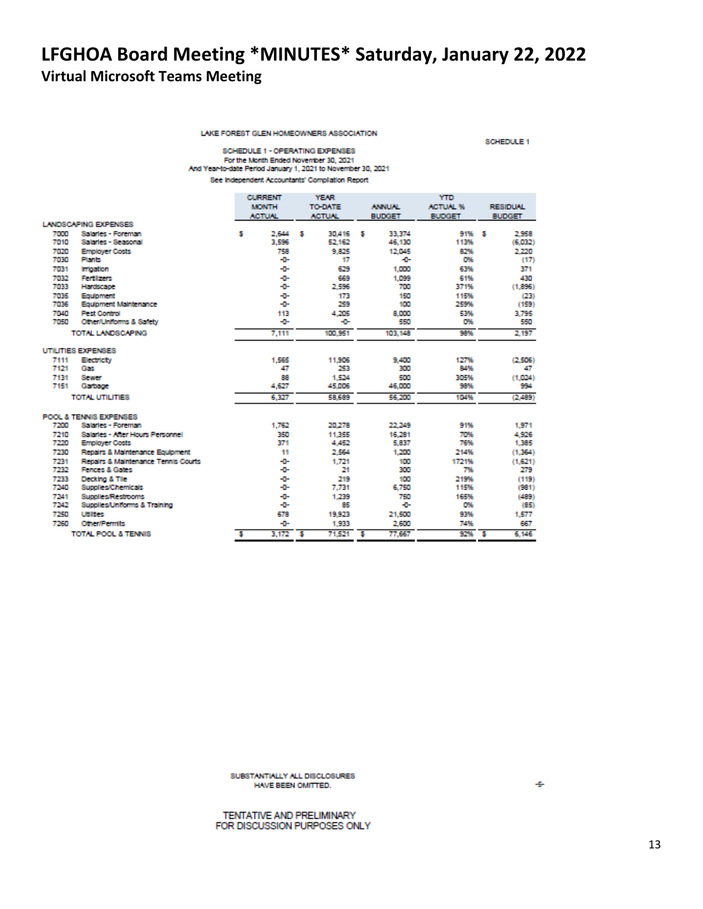LAKE FOREST GLEN HOMEOWNERS ASSOCIATION

SCHEDULE 1

SCHEDULE 1 - OPERATING EXPENSES For the Month Ended November 30, 2021 And Year-to-date Period January 1, 2021 to November 30, 2021 See Independent Accountants' Compliation Report

|                                |                                     |   | <b>CURRENT</b> |                | <b>YEAR</b>   |   | <b>YTD</b>    |                 |                 |         |
|--------------------------------|-------------------------------------|---|----------------|----------------|---------------|---|---------------|-----------------|-----------------|---------|
|                                |                                     |   | <b>MONTH</b>   | <b>TO-DATE</b> |               |   | <b>ANNUAL</b> | <b>ACTUAL %</b> | <b>RESIDUAL</b> |         |
|                                |                                     |   | <b>ACTUNL</b>  |                | <b>ACTUN.</b> |   | <b>BUDGET</b> | <b>BUDGET</b>   | <b>BUDGET</b>   |         |
|                                | LANDSCAPING EXPENSES                |   |                |                |               |   |               |                 |                 |         |
| 7000                           | Salaries - Foreman                  | s | 2,644          | з              | 30,416        | я | 33,374        | 91% \$          |                 | 2.958   |
| 7010                           | Salaries - Seasonal                 |   | 3.596          |                | 52.162        |   | 46,130        | 113%            |                 | (6.032) |
| 7020                           | <b>Employer Costs</b>               |   | 758            |                | 9.825         |   | 12,045        | 82%             |                 | 2.220   |
| 7030                           | Plants                              |   | -0-            |                | 17            |   | ÷             | D%              |                 | (17)    |
| 7031                           | <b>Irrigation</b>                   |   | ÷D-            |                | 629           |   | 1,000         | 63%             |                 | 371     |
| 7032                           | <b>Fertilizers</b>                  |   | -0-            |                | 669           |   | 1.099         | 61%             |                 | 430     |
| 7033                           | Hardscape                           |   | ÷              |                | 2.596         |   | 700           | 371%            |                 | (1.896) |
| 7035                           | Equipment                           |   | ÷              |                | 173           |   | 150           | 115%            |                 | (23)    |
| 7036                           | Equipment Maintenance               |   | -0-            |                | 259           |   | 100           | 259%            |                 | (159)   |
| 7040                           | <b>Pest Control</b>                 |   | 113            |                | 4.205         |   | 8,000         | 53%             |                 | 3.795   |
| 7050                           | Other/Uniforms & Safety             |   | ÷              |                | -0-           |   | 550           | O%              |                 | 550     |
|                                | TOTAL LANDSCAPING                   |   | 7,111          |                | 100,951       |   | 103.148       | 98%             |                 | 2,197   |
|                                | UTILITIES EXPENSES                  |   |                |                |               |   |               |                 |                 |         |
| 7111                           | Electricity                         |   | 1.565          |                | 11,906        |   | 9,400         | 127%            |                 | (2.506) |
| 7121                           | Gas                                 |   | 47             |                | 253           |   | 300           | 84%             |                 | 47      |
| 7131                           | Sewer                               |   | 88             |                | 1,524         |   | 500           | 305%            |                 | (1,024) |
| 7151                           | Garbage                             |   | 4,627          |                | 45,006        |   | 46,000        | 98%             |                 | 994     |
| TOTAL UTILITIES                |                                     |   | 6.327          |                | 58,689        |   | 56,200        | 104%            |                 | (2.489) |
|                                | POOL & TENNIS EXPENSES              |   |                |                |               |   |               |                 |                 |         |
| 7200                           | Salaries - Foreman                  |   | 1.762          |                | 20,278        |   | 22,249        | 91%             |                 | 1.971   |
| 7210                           | Salaries - After Hours Personnel    |   | 350            |                | 11.355        |   | 16,281        | 70%             |                 | 4,926   |
| 7220                           | <b>Employer Costs</b>               |   | 371            |                | 4,452         |   | 5,837         | 76%             |                 | 1,385   |
| 7230                           | Repairs & Maintenance Equipment     |   | 11             |                | 2,564         |   | 1,200         | 214%            |                 | (1.364) |
| 7231                           | Repairs & Maintenance Tennis Courts |   | -0-            |                | 1.721         |   | 100           | 1721%           |                 | (1,621) |
| 7232                           | Fences & Gates                      |   | -0-            |                | 21            |   | 300           | 7%              |                 | 279     |
| 7233                           | Decking & Tile                      |   | ÷D-            |                | 219           |   | 100           | 219%            |                 | (119)   |
| 7240                           | Supplies/Chemicals                  |   | -0-            |                | 7.731         |   | 6.750         | 115%            |                 | (981)   |
| 7241                           | <b>Supplies/Restrooms</b>           |   | -0-            |                | 1,239         |   | 750           | 165%            |                 | (489)   |
| 7242                           | Supplies/Uniforms & Training        |   | ÷D-            |                | 85            |   | -0-           | 0%              |                 | (85)    |
| 7250                           | <b>Utilities</b>                    |   | 678            |                | 19,923        |   | 21,500        | 93%             |                 | 1,577   |
| 7260                           | <b>Other/Permits</b>                |   | -0-            |                | 1,933         |   | 2,600         | 74%             |                 | 667     |
| <b>TOTAL POOL &amp; TENNIS</b> |                                     | s | 3.172          | ъ              | 71,521        | s | 77.667        | 92%             | - 5             | 6.146   |

SUBSTANTIALLY ALL DISCLOSURES HAVE BEEN OMITTED.

÷